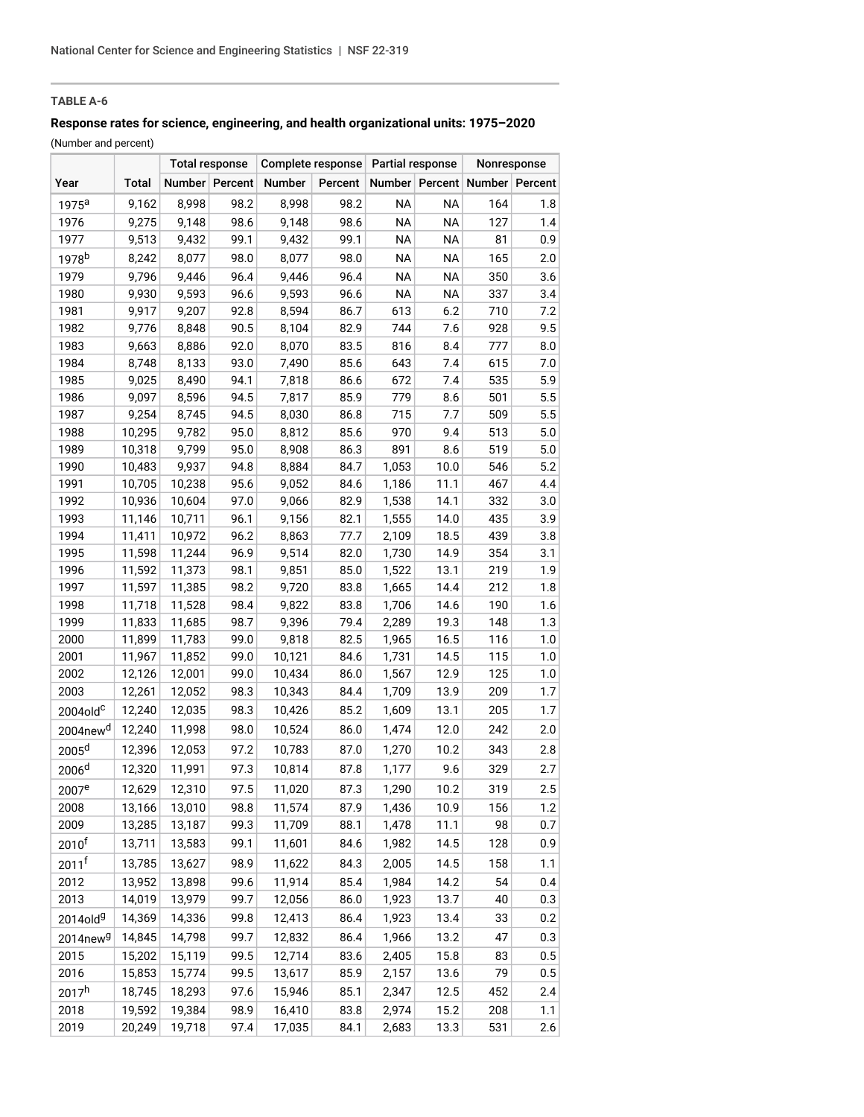## **TABLE A-6**

# **Response rates for science, engineering, and health organizational units: 1975–2020**

(Number and percent)

| <b>Total</b><br>Number Percent<br>Number<br>Percent<br>Number Percent<br>Number Percent<br>Year<br>8,998<br>98.2<br>8,998<br>98.2<br><b>NA</b><br><b>NA</b><br>9,162<br>164<br>1.8<br>$1975^a$<br>98.6<br>98.6<br><b>NA</b><br>1976<br>9,148<br>9,148<br><b>NA</b><br>127<br>1.4<br>9,275<br>9,432<br>99.1<br>99.1<br><b>NA</b><br><b>NA</b><br>0.9<br>1977<br>9,513<br>9,432<br>81<br>1978 <sup>b</sup><br>8,077<br>98.0<br>98.0<br><b>NA</b><br><b>NA</b><br>165<br>2.0<br>8,242<br>8,077<br><b>NA</b><br>9,796<br>9,446<br>96.4<br>9,446<br>96.4<br><b>NA</b><br>350<br>3.6<br>1979<br>1980<br>9,930<br>9,593<br>96.6<br>9,593<br>96.6<br><b>NA</b><br><b>NA</b><br>337<br>3.4<br>9,207<br>92.8<br>86.7<br>613<br>6.2<br>710<br>1981<br>9,917<br>8,594<br>7.2<br>90.5<br>82.9<br>744<br>7.6<br>9.5<br>1982<br>9,776<br>8,848<br>8,104<br>928<br>92.0<br>83.5<br>1983<br>9,663<br>8,886<br>8,070<br>816<br>8.4<br>777<br>8.0<br>8,748<br>8,133<br>93.0<br>85.6<br>615<br>7.0<br>1984<br>7,490<br>643<br>7.4<br>5.9<br>94.1<br>86.6<br>672<br>7.4<br>535<br>1985<br>9,025<br>8,490<br>7,818<br>1986<br>9,097<br>8,596<br>94.5<br>7,817<br>85.9<br>779<br>501<br>5.5<br>8.6<br>5.5<br>1987<br>8,745<br>94.5<br>86.8<br>715<br>7.7<br>509<br>9,254<br>8,030<br>95.0<br>85.6<br>970<br>513<br>5.0<br>1988<br>10,295<br>9,782<br>8,812<br>9.4<br>5.0<br>9,799<br>95.0<br>86.3<br>891<br>8.6<br>519<br>1989<br>10,318<br>8,908<br>5.2<br>1990<br>9,937<br>94.8<br>8,884<br>84.7<br>1,053<br>10.0<br>546<br>10,483<br>1991<br>10,238<br>95.6<br>84.6<br>11.1<br>467<br>4.4<br>10,705<br>9,052<br>1,186<br>1992<br>10,604<br>97.0<br>82.9<br>14.1<br>332<br>3.0<br>10,936<br>9,066<br>1,538<br>96.1<br>14.0<br>3.9<br>1993<br>11,146<br>10,711<br>9,156<br>82.1<br>1,555<br>435<br>96.2<br>77.7<br>18.5<br>439<br>3.8<br>1994<br>11,411<br>10,972<br>8,863<br>2,109<br>11,244<br>96.9<br>82.0<br>14.9<br>354<br>1995<br>11,598<br>9,514<br>1,730<br>3.1<br>1.9<br>11,373<br>98.1<br>85.0<br>1,522<br>13.1<br>219<br>1996<br>11,592<br>9,851<br>11,597<br>11,385<br>98.2<br>9,720<br>83.8<br>1,665<br>14.4<br>212<br>1.8<br>1997 |
|---------------------------------------------------------------------------------------------------------------------------------------------------------------------------------------------------------------------------------------------------------------------------------------------------------------------------------------------------------------------------------------------------------------------------------------------------------------------------------------------------------------------------------------------------------------------------------------------------------------------------------------------------------------------------------------------------------------------------------------------------------------------------------------------------------------------------------------------------------------------------------------------------------------------------------------------------------------------------------------------------------------------------------------------------------------------------------------------------------------------------------------------------------------------------------------------------------------------------------------------------------------------------------------------------------------------------------------------------------------------------------------------------------------------------------------------------------------------------------------------------------------------------------------------------------------------------------------------------------------------------------------------------------------------------------------------------------------------------------------------------------------------------------------------------------------------------------------------------------------------------------------------------------------------------------------------------------------------------------------------------------------------------------------------------------------------------------------------------------------------------|
|                                                                                                                                                                                                                                                                                                                                                                                                                                                                                                                                                                                                                                                                                                                                                                                                                                                                                                                                                                                                                                                                                                                                                                                                                                                                                                                                                                                                                                                                                                                                                                                                                                                                                                                                                                                                                                                                                                                                                                                                                                                                                                                           |
|                                                                                                                                                                                                                                                                                                                                                                                                                                                                                                                                                                                                                                                                                                                                                                                                                                                                                                                                                                                                                                                                                                                                                                                                                                                                                                                                                                                                                                                                                                                                                                                                                                                                                                                                                                                                                                                                                                                                                                                                                                                                                                                           |
|                                                                                                                                                                                                                                                                                                                                                                                                                                                                                                                                                                                                                                                                                                                                                                                                                                                                                                                                                                                                                                                                                                                                                                                                                                                                                                                                                                                                                                                                                                                                                                                                                                                                                                                                                                                                                                                                                                                                                                                                                                                                                                                           |
|                                                                                                                                                                                                                                                                                                                                                                                                                                                                                                                                                                                                                                                                                                                                                                                                                                                                                                                                                                                                                                                                                                                                                                                                                                                                                                                                                                                                                                                                                                                                                                                                                                                                                                                                                                                                                                                                                                                                                                                                                                                                                                                           |
|                                                                                                                                                                                                                                                                                                                                                                                                                                                                                                                                                                                                                                                                                                                                                                                                                                                                                                                                                                                                                                                                                                                                                                                                                                                                                                                                                                                                                                                                                                                                                                                                                                                                                                                                                                                                                                                                                                                                                                                                                                                                                                                           |
|                                                                                                                                                                                                                                                                                                                                                                                                                                                                                                                                                                                                                                                                                                                                                                                                                                                                                                                                                                                                                                                                                                                                                                                                                                                                                                                                                                                                                                                                                                                                                                                                                                                                                                                                                                                                                                                                                                                                                                                                                                                                                                                           |
|                                                                                                                                                                                                                                                                                                                                                                                                                                                                                                                                                                                                                                                                                                                                                                                                                                                                                                                                                                                                                                                                                                                                                                                                                                                                                                                                                                                                                                                                                                                                                                                                                                                                                                                                                                                                                                                                                                                                                                                                                                                                                                                           |
|                                                                                                                                                                                                                                                                                                                                                                                                                                                                                                                                                                                                                                                                                                                                                                                                                                                                                                                                                                                                                                                                                                                                                                                                                                                                                                                                                                                                                                                                                                                                                                                                                                                                                                                                                                                                                                                                                                                                                                                                                                                                                                                           |
|                                                                                                                                                                                                                                                                                                                                                                                                                                                                                                                                                                                                                                                                                                                                                                                                                                                                                                                                                                                                                                                                                                                                                                                                                                                                                                                                                                                                                                                                                                                                                                                                                                                                                                                                                                                                                                                                                                                                                                                                                                                                                                                           |
|                                                                                                                                                                                                                                                                                                                                                                                                                                                                                                                                                                                                                                                                                                                                                                                                                                                                                                                                                                                                                                                                                                                                                                                                                                                                                                                                                                                                                                                                                                                                                                                                                                                                                                                                                                                                                                                                                                                                                                                                                                                                                                                           |
|                                                                                                                                                                                                                                                                                                                                                                                                                                                                                                                                                                                                                                                                                                                                                                                                                                                                                                                                                                                                                                                                                                                                                                                                                                                                                                                                                                                                                                                                                                                                                                                                                                                                                                                                                                                                                                                                                                                                                                                                                                                                                                                           |
|                                                                                                                                                                                                                                                                                                                                                                                                                                                                                                                                                                                                                                                                                                                                                                                                                                                                                                                                                                                                                                                                                                                                                                                                                                                                                                                                                                                                                                                                                                                                                                                                                                                                                                                                                                                                                                                                                                                                                                                                                                                                                                                           |
|                                                                                                                                                                                                                                                                                                                                                                                                                                                                                                                                                                                                                                                                                                                                                                                                                                                                                                                                                                                                                                                                                                                                                                                                                                                                                                                                                                                                                                                                                                                                                                                                                                                                                                                                                                                                                                                                                                                                                                                                                                                                                                                           |
|                                                                                                                                                                                                                                                                                                                                                                                                                                                                                                                                                                                                                                                                                                                                                                                                                                                                                                                                                                                                                                                                                                                                                                                                                                                                                                                                                                                                                                                                                                                                                                                                                                                                                                                                                                                                                                                                                                                                                                                                                                                                                                                           |
|                                                                                                                                                                                                                                                                                                                                                                                                                                                                                                                                                                                                                                                                                                                                                                                                                                                                                                                                                                                                                                                                                                                                                                                                                                                                                                                                                                                                                                                                                                                                                                                                                                                                                                                                                                                                                                                                                                                                                                                                                                                                                                                           |
|                                                                                                                                                                                                                                                                                                                                                                                                                                                                                                                                                                                                                                                                                                                                                                                                                                                                                                                                                                                                                                                                                                                                                                                                                                                                                                                                                                                                                                                                                                                                                                                                                                                                                                                                                                                                                                                                                                                                                                                                                                                                                                                           |
|                                                                                                                                                                                                                                                                                                                                                                                                                                                                                                                                                                                                                                                                                                                                                                                                                                                                                                                                                                                                                                                                                                                                                                                                                                                                                                                                                                                                                                                                                                                                                                                                                                                                                                                                                                                                                                                                                                                                                                                                                                                                                                                           |
|                                                                                                                                                                                                                                                                                                                                                                                                                                                                                                                                                                                                                                                                                                                                                                                                                                                                                                                                                                                                                                                                                                                                                                                                                                                                                                                                                                                                                                                                                                                                                                                                                                                                                                                                                                                                                                                                                                                                                                                                                                                                                                                           |
|                                                                                                                                                                                                                                                                                                                                                                                                                                                                                                                                                                                                                                                                                                                                                                                                                                                                                                                                                                                                                                                                                                                                                                                                                                                                                                                                                                                                                                                                                                                                                                                                                                                                                                                                                                                                                                                                                                                                                                                                                                                                                                                           |
|                                                                                                                                                                                                                                                                                                                                                                                                                                                                                                                                                                                                                                                                                                                                                                                                                                                                                                                                                                                                                                                                                                                                                                                                                                                                                                                                                                                                                                                                                                                                                                                                                                                                                                                                                                                                                                                                                                                                                                                                                                                                                                                           |
|                                                                                                                                                                                                                                                                                                                                                                                                                                                                                                                                                                                                                                                                                                                                                                                                                                                                                                                                                                                                                                                                                                                                                                                                                                                                                                                                                                                                                                                                                                                                                                                                                                                                                                                                                                                                                                                                                                                                                                                                                                                                                                                           |
|                                                                                                                                                                                                                                                                                                                                                                                                                                                                                                                                                                                                                                                                                                                                                                                                                                                                                                                                                                                                                                                                                                                                                                                                                                                                                                                                                                                                                                                                                                                                                                                                                                                                                                                                                                                                                                                                                                                                                                                                                                                                                                                           |
|                                                                                                                                                                                                                                                                                                                                                                                                                                                                                                                                                                                                                                                                                                                                                                                                                                                                                                                                                                                                                                                                                                                                                                                                                                                                                                                                                                                                                                                                                                                                                                                                                                                                                                                                                                                                                                                                                                                                                                                                                                                                                                                           |
|                                                                                                                                                                                                                                                                                                                                                                                                                                                                                                                                                                                                                                                                                                                                                                                                                                                                                                                                                                                                                                                                                                                                                                                                                                                                                                                                                                                                                                                                                                                                                                                                                                                                                                                                                                                                                                                                                                                                                                                                                                                                                                                           |
| 11,528<br>98.4<br>83.8<br>14.6<br>190<br>1.6<br>1998<br>11,718<br>9,822<br>1,706                                                                                                                                                                                                                                                                                                                                                                                                                                                                                                                                                                                                                                                                                                                                                                                                                                                                                                                                                                                                                                                                                                                                                                                                                                                                                                                                                                                                                                                                                                                                                                                                                                                                                                                                                                                                                                                                                                                                                                                                                                          |
| 11,685<br>98.7<br>79.4<br>2,289<br>19.3<br>148<br>1.3<br>1999<br>11,833<br>9,396                                                                                                                                                                                                                                                                                                                                                                                                                                                                                                                                                                                                                                                                                                                                                                                                                                                                                                                                                                                                                                                                                                                                                                                                                                                                                                                                                                                                                                                                                                                                                                                                                                                                                                                                                                                                                                                                                                                                                                                                                                          |
| 99.0<br>82.5<br>16.5<br>116<br>2000<br>11,899<br>11,783<br>9,818<br>1,965<br>1.0                                                                                                                                                                                                                                                                                                                                                                                                                                                                                                                                                                                                                                                                                                                                                                                                                                                                                                                                                                                                                                                                                                                                                                                                                                                                                                                                                                                                                                                                                                                                                                                                                                                                                                                                                                                                                                                                                                                                                                                                                                          |
| 99.0<br>84.6<br>14.5<br>2001<br>11,967<br>11,852<br>10,121<br>1,731<br>115<br>1.0                                                                                                                                                                                                                                                                                                                                                                                                                                                                                                                                                                                                                                                                                                                                                                                                                                                                                                                                                                                                                                                                                                                                                                                                                                                                                                                                                                                                                                                                                                                                                                                                                                                                                                                                                                                                                                                                                                                                                                                                                                         |
| 12,126<br>12,001<br>99.0<br>86.0<br>1,567<br>12.9<br>125<br>1.0<br>2002<br>10,434                                                                                                                                                                                                                                                                                                                                                                                                                                                                                                                                                                                                                                                                                                                                                                                                                                                                                                                                                                                                                                                                                                                                                                                                                                                                                                                                                                                                                                                                                                                                                                                                                                                                                                                                                                                                                                                                                                                                                                                                                                         |
| 2003<br>12,052<br>98.3<br>84.4<br>13.9<br>209<br>12,261<br>10,343<br>1,709<br>1.7                                                                                                                                                                                                                                                                                                                                                                                                                                                                                                                                                                                                                                                                                                                                                                                                                                                                                                                                                                                                                                                                                                                                                                                                                                                                                                                                                                                                                                                                                                                                                                                                                                                                                                                                                                                                                                                                                                                                                                                                                                         |
| 12,240<br>12,035<br>98.3<br>10,426<br>85.2<br>1,609<br>13.1<br>205<br>1.7<br>$2004$ old $c$                                                                                                                                                                                                                                                                                                                                                                                                                                                                                                                                                                                                                                                                                                                                                                                                                                                                                                                                                                                                                                                                                                                                                                                                                                                                                                                                                                                                                                                                                                                                                                                                                                                                                                                                                                                                                                                                                                                                                                                                                               |
| 2004new <sup>d</sup><br>12,240<br>11,998<br>98.0<br>86.0<br>12.0<br>242<br>2.0<br>10,524<br>1,474                                                                                                                                                                                                                                                                                                                                                                                                                                                                                                                                                                                                                                                                                                                                                                                                                                                                                                                                                                                                                                                                                                                                                                                                                                                                                                                                                                                                                                                                                                                                                                                                                                                                                                                                                                                                                                                                                                                                                                                                                         |
| 2005 <sup>d</sup><br>2.8<br>12,396<br>12,053<br>97.2<br>10,783<br>87.0<br>1,270<br>10.2<br>343                                                                                                                                                                                                                                                                                                                                                                                                                                                                                                                                                                                                                                                                                                                                                                                                                                                                                                                                                                                                                                                                                                                                                                                                                                                                                                                                                                                                                                                                                                                                                                                                                                                                                                                                                                                                                                                                                                                                                                                                                            |
| 2006 <sup>d</sup><br>12,320<br>11,991<br>9.6<br>2.7<br>97.3<br>10,814<br>87.8<br>1,177<br>329                                                                                                                                                                                                                                                                                                                                                                                                                                                                                                                                                                                                                                                                                                                                                                                                                                                                                                                                                                                                                                                                                                                                                                                                                                                                                                                                                                                                                                                                                                                                                                                                                                                                                                                                                                                                                                                                                                                                                                                                                             |
| 97.5<br>1,290<br>319<br>2.5<br>12,310<br>11,020<br>87.3<br>10.2<br>12,629<br>2007 <sup>e</sup>                                                                                                                                                                                                                                                                                                                                                                                                                                                                                                                                                                                                                                                                                                                                                                                                                                                                                                                                                                                                                                                                                                                                                                                                                                                                                                                                                                                                                                                                                                                                                                                                                                                                                                                                                                                                                                                                                                                                                                                                                            |
| 98.8<br>87.9<br>10.9<br>2008<br>13,166<br>13,010<br>11,574<br>1,436<br>156<br>1.2                                                                                                                                                                                                                                                                                                                                                                                                                                                                                                                                                                                                                                                                                                                                                                                                                                                                                                                                                                                                                                                                                                                                                                                                                                                                                                                                                                                                                                                                                                                                                                                                                                                                                                                                                                                                                                                                                                                                                                                                                                         |
| 2009<br>99.3<br>11,709<br>88.1<br>1,478<br>98<br>0.7<br>13,285<br>13,187<br>11.1                                                                                                                                                                                                                                                                                                                                                                                                                                                                                                                                                                                                                                                                                                                                                                                                                                                                                                                                                                                                                                                                                                                                                                                                                                                                                                                                                                                                                                                                                                                                                                                                                                                                                                                                                                                                                                                                                                                                                                                                                                          |
| 2010 <sup>f</sup><br>128<br>13,711<br>13,583<br>99.1<br>11,601<br>84.6<br>1,982<br>14.5<br>0.9                                                                                                                                                                                                                                                                                                                                                                                                                                                                                                                                                                                                                                                                                                                                                                                                                                                                                                                                                                                                                                                                                                                                                                                                                                                                                                                                                                                                                                                                                                                                                                                                                                                                                                                                                                                                                                                                                                                                                                                                                            |
| 2011 <sup>f</sup><br>13,627<br>98.9<br>84.3<br>158<br>1.1<br>13,785<br>11,622<br>2,005<br>14.5                                                                                                                                                                                                                                                                                                                                                                                                                                                                                                                                                                                                                                                                                                                                                                                                                                                                                                                                                                                                                                                                                                                                                                                                                                                                                                                                                                                                                                                                                                                                                                                                                                                                                                                                                                                                                                                                                                                                                                                                                            |
| 2012<br>99.6<br>13,952<br>13,898<br>11,914<br>85.4<br>1,984<br>14.2<br>54<br>0.4                                                                                                                                                                                                                                                                                                                                                                                                                                                                                                                                                                                                                                                                                                                                                                                                                                                                                                                                                                                                                                                                                                                                                                                                                                                                                                                                                                                                                                                                                                                                                                                                                                                                                                                                                                                                                                                                                                                                                                                                                                          |
| 2013<br>99.7<br>86.0<br>40<br>14,019<br>13,979<br>12,056<br>1,923<br>13.7<br>0.3                                                                                                                                                                                                                                                                                                                                                                                                                                                                                                                                                                                                                                                                                                                                                                                                                                                                                                                                                                                                                                                                                                                                                                                                                                                                                                                                                                                                                                                                                                                                                                                                                                                                                                                                                                                                                                                                                                                                                                                                                                          |
| 99.8<br>12,413<br>86.4<br>1,923<br>33<br>0.2<br>$2014$ old $9$<br>14,369<br>14,336<br>13.4                                                                                                                                                                                                                                                                                                                                                                                                                                                                                                                                                                                                                                                                                                                                                                                                                                                                                                                                                                                                                                                                                                                                                                                                                                                                                                                                                                                                                                                                                                                                                                                                                                                                                                                                                                                                                                                                                                                                                                                                                                |
| 14,798<br>14,845<br>99.7<br>12,832<br>86.4<br>1,966<br>13.2<br>47<br>0.3<br>2014new <sup>g</sup>                                                                                                                                                                                                                                                                                                                                                                                                                                                                                                                                                                                                                                                                                                                                                                                                                                                                                                                                                                                                                                                                                                                                                                                                                                                                                                                                                                                                                                                                                                                                                                                                                                                                                                                                                                                                                                                                                                                                                                                                                          |
| 2015<br>15,202<br>15,119<br>99.5<br>12,714<br>83.6<br>2,405<br>15.8<br>83<br>0.5                                                                                                                                                                                                                                                                                                                                                                                                                                                                                                                                                                                                                                                                                                                                                                                                                                                                                                                                                                                                                                                                                                                                                                                                                                                                                                                                                                                                                                                                                                                                                                                                                                                                                                                                                                                                                                                                                                                                                                                                                                          |
| 2016<br>99.5<br>79<br>0.5<br>15,853<br>15,774<br>13,617<br>85.9<br>2,157<br>13.6                                                                                                                                                                                                                                                                                                                                                                                                                                                                                                                                                                                                                                                                                                                                                                                                                                                                                                                                                                                                                                                                                                                                                                                                                                                                                                                                                                                                                                                                                                                                                                                                                                                                                                                                                                                                                                                                                                                                                                                                                                          |
| 2017 <sup>h</sup><br>97.6<br>15,946<br>85.1<br>12.5<br>452<br>2.4<br>18,745<br>18,293<br>2,347                                                                                                                                                                                                                                                                                                                                                                                                                                                                                                                                                                                                                                                                                                                                                                                                                                                                                                                                                                                                                                                                                                                                                                                                                                                                                                                                                                                                                                                                                                                                                                                                                                                                                                                                                                                                                                                                                                                                                                                                                            |
| 2018<br>19,592<br>19,384<br>98.9<br>16,410<br>83.8<br>2,974<br>15.2<br>208<br>1.1                                                                                                                                                                                                                                                                                                                                                                                                                                                                                                                                                                                                                                                                                                                                                                                                                                                                                                                                                                                                                                                                                                                                                                                                                                                                                                                                                                                                                                                                                                                                                                                                                                                                                                                                                                                                                                                                                                                                                                                                                                         |
| 2019<br>20,249<br>19,718<br>97.4<br>84.1<br>2,683<br>13.3<br>531<br>2.6<br>17,035                                                                                                                                                                                                                                                                                                                                                                                                                                                                                                                                                                                                                                                                                                                                                                                                                                                                                                                                                                                                                                                                                                                                                                                                                                                                                                                                                                                                                                                                                                                                                                                                                                                                                                                                                                                                                                                                                                                                                                                                                                         |